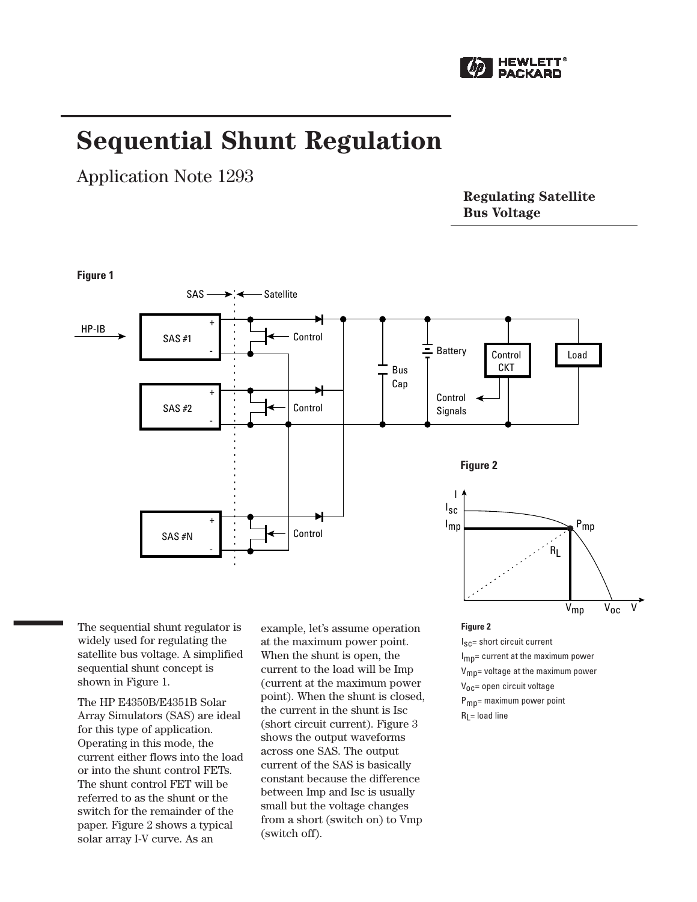

# **Sequential Shunt Regulation**

Application Note 1293

**Regulating Satellite Bus Voltage**



The sequential shunt regulator is widely used for regulating the satellite bus voltage. A simplified sequential shunt concept is shown in Figure 1.

The HP E4350B/E4351B Solar Array Simulators (SAS) are ideal for this type of application. Operating in this mode, the current either flows into the load or into the shunt control FETs. The shunt control FET will be referred to as the shunt or the switch for the remainder of the paper. Figure 2 shows a typical solar array I-V curve. As an

example, let's assume operation at the maximum power point. When the shunt is open, the current to the load will be Imp (current at the maximum power point). When the shunt is closed, the current in the shunt is Isc (short circuit current). Figure 3 shows the output waveforms across one SAS. The output current of the SAS is basically constant because the difference between Imp and Isc is usually small but the voltage changes from a short (switch on) to Vmp (switch off).

**Figure 2**

 $I_{SC}$  short circuit current I<sub>mp</sub>= current at the maximum power V<sub>mp</sub>= voltage at the maximum power V<sub>OC</sub>= open circuit voltage Pmp= maximum power point  $R<sub>l</sub>$  = load line

 $V_{mn}$   $V_{0c}$   $V'$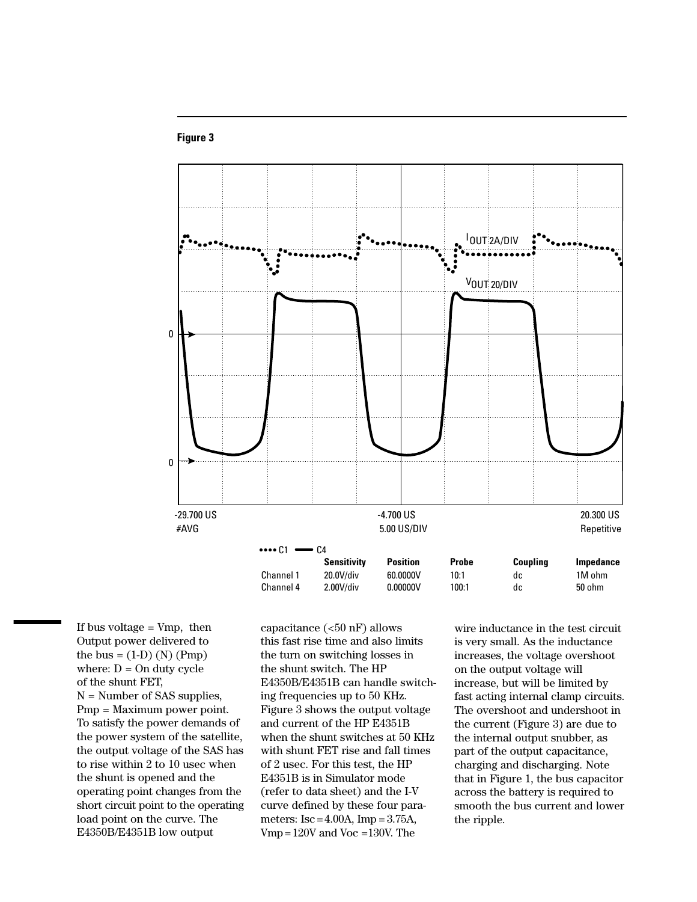

# **Figure 3**

If bus voltage  $= Vmp$ , then Output power delivered to the bus =  $(1-D)$  (N) (Pmp) where:  $D = On$  duty cycle of the shunt FET, N = Number of SAS supplies, Pmp = Maximum power point. To satisfy the power demands of the power system of the satellite, the output voltage of the SAS has to rise within 2 to 10 usec when the shunt is opened and the operating point changes from the short circuit point to the operating load point on the curve. The E4350B/E4351B low output

capacitance (<50 nF) allows this fast rise time and also limits the turn on switching losses in the shunt switch. The HP E4350B/E4351B can handle switching frequencies up to 50 KHz. Figure 3 shows the output voltage and current of the HP E4351B when the shunt switches at 50 KHz with shunt FET rise and fall times of 2 usec. For this test, the HP E4351B is in Simulator mode (refer to data sheet) and the I-V curve defined by these four parameters:  $\text{Isc} = 4.00 \text{A}$ ,  $\text{Imp} = 3.75 \text{A}$ , Vmp=120V and Voc =130V. The

wire inductance in the test circuit is very small. As the inductance increases, the voltage overshoot on the output voltage will increase, but will be limited by fast acting internal clamp circuits. The overshoot and undershoot in the current (Figure 3) are due to the internal output snubber, as part of the output capacitance, charging and discharging. Note that in Figure 1, the bus capacitor across the battery is required to smooth the bus current and lower the ripple.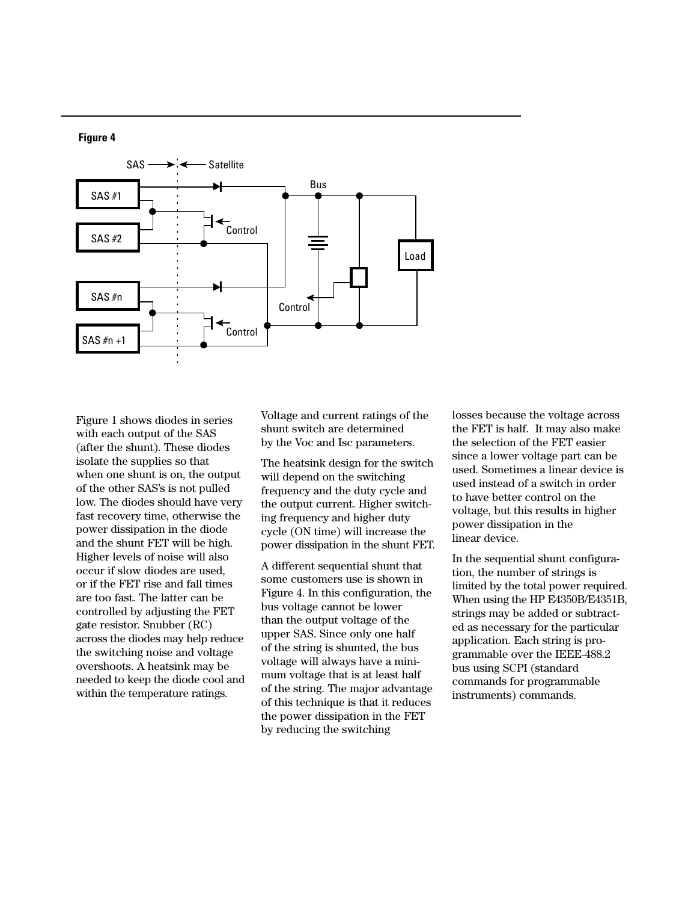



Figure 1 shows diodes in series with each output of the SAS (after the shunt). These diodes isolate the supplies so that when one shunt is on, the output of the other SAS's is not pulled low. The diodes should have very fast recovery time, otherwise the power dissipation in the diode and the shunt FET will be high. Higher levels of noise will also occur if slow diodes are used, or if the FET rise and fall times are too fast. The latter can be controlled by adjusting the FET gate resistor. Snubber (RC) across the diodes may help reduce the switching noise and voltage overshoots. A heatsink may be needed to keep the diode cool and within the temperature ratings.

Voltage and current ratings of the shunt switch are determined by the Voc and Isc parameters.

The heatsink design for the switch will depend on the switching frequency and the duty cycle and the output current. Higher switching frequency and higher duty cycle (ON time) will increase the power dissipation in the shunt FET.

A different sequential shunt that some customers use is shown in Figure 4. In this configuration, the bus voltage cannot be lower than the output voltage of the upper SAS. Since only one half of the string is shunted, the bus voltage will always have a minimum voltage that is at least half of the string. The major advantage of this technique is that it reduces the power dissipation in the FET by reducing the switching

losses because the voltage across the FET is half. It may also make the selection of the FET easier since a lower voltage part can be used. Sometimes a linear device is used instead of a switch in order to have better control on the voltage, but this results in higher power dissipation in the linear device.

In the sequential shunt configuration, the number of strings is limited by the total power required. When using the HP E4350B/E4351B, strings may be added or subtracted as necessary for the particular application. Each string is programmable over the IEEE-488.2 bus using SCPI (standard commands for programmable instruments) commands.